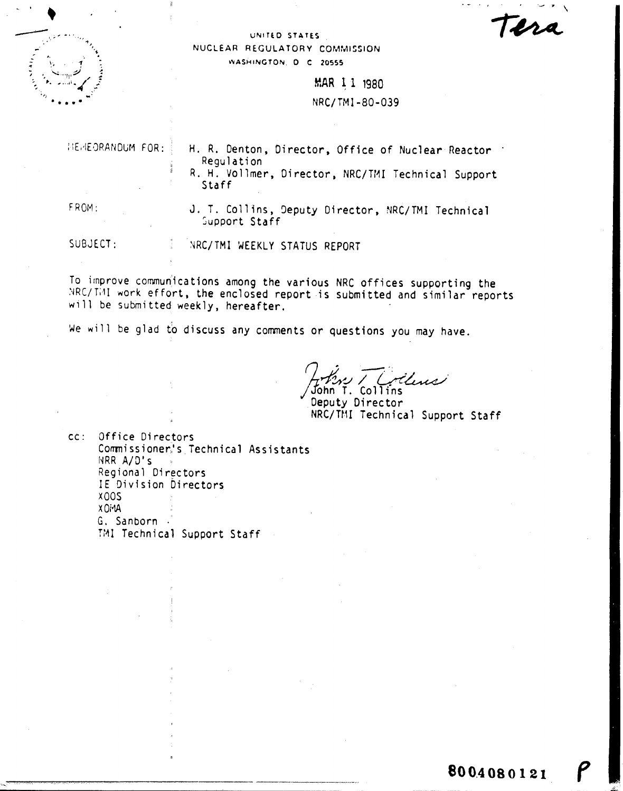Tera

#### UNITED STATES NUCLEAR REGULATORY COMMISSION WASHINGTON, D.C. 20555

MAR 11 1980 NRC/TM1-80-039

|              | MEMEORANDUM FOR: H. R. Denton, Director, Office of Nuclear Reactor<br>Regulation<br>R. H. Vollmer, Director, NRC/TMI Technical Support<br>Staff |
|--------------|-------------------------------------------------------------------------------------------------------------------------------------------------|
| <b>FROM:</b> | J. T. Collins, Deputy Director, NRC/TMI Technical<br>Support Staff                                                                              |

SUBJECT: NRC/TMI WEEKLY STATUS REPORT

To improve communications among the various NRC offices supporting the NRC/TMI work effort, the enclosed report is submitted and similar reports will be submitted weekly, hereafter.

We will be glad to discuss any comments or questions you may have.

John T. Collins

Deputy Director NRC/TMI Technical Support Staff

Office Directors  $CC:$ Commissioner's Technical Assistants NRR A/D's Regional Directors IE Division Directors **X00S** X Di VA G. Sanborn . TMI Technical Support Staff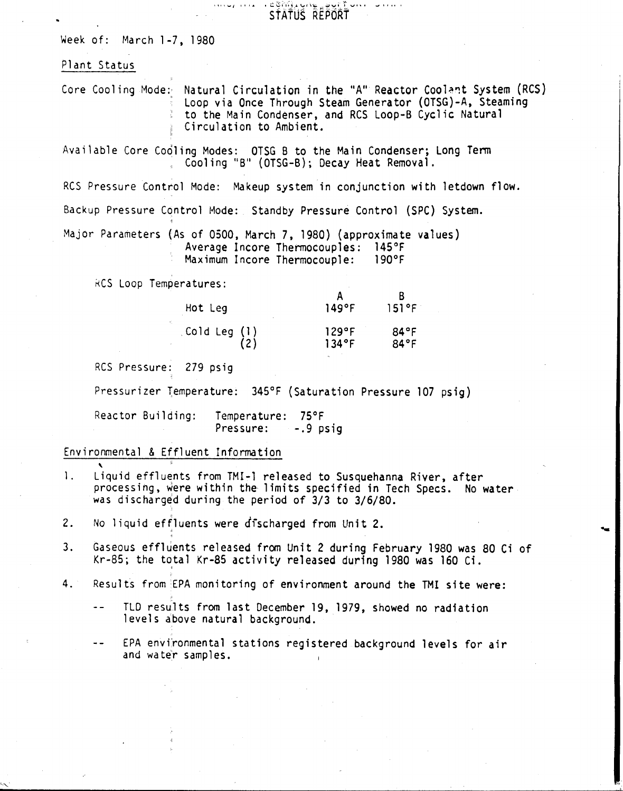$\frac{1}{s}$ s atus 'report

11' '..., *I* I j '"

Week of: March 1-7, 1980

## Plant Status

Core Cooling Mode:- Natural Circulation in the "A" Reactor Coolant System (RCS) Loop via Once Through Steam Generator (OTSG)-A, Steaming to the Main Condenser, and RCS Loop-B Cyclic Natural Circulation to Ambient.

Available Core Cooling Modes: OTSG B to the Main Condenser; Long Term Cooling "B" (OTSG-B); Decay Heat Removal.

RCS Pressure Control Mode: Makeup system in conjunction with letdown flow.

Backup Pressure Control Mode: Standby Pressure Control (SPC) System.

Major Parameters (As of 0500, March 7, 1980) (approximate values) Average Incore Thermocouples: 145°F<br>Maximum Incore Thermocouple: 190°F Maximum Incore Thermocouple:

RCS Loop Temperatures:

| Hot Leg      | 149°F | 151°F |
|--------------|-------|-------|
| Cold Leg (1) | 129°F | 84°F  |
| (2)          | 134°F | 84°f  |

RCS Pressure: 279 psig

Pressurizer Temperature: 345°F (Saturation Pressure 107 psig)

Reactor Building: Temperature: 75°F Pressure:  $-.9$  psig

# Environmental & Effluent Information

,

,

- 1. Liquid effluents from TMI-1 released to Susquehanna River, after processing, were within the limits specified in Tech Specs. No water was discharged during the period of 3/3 to 3/6/80.
- 2. No liquid effluents were discharged from Unit 2.
- 3. Gaseous effluents released from Unit 2 during February 1980 was 80 Ci of Kr-85; the total Kr-85 activity released during 1980 was 160 Ci.
- 4. Results from EPA monitoring of environment around the TMI site were:
	- TLD results from last December 19, 1979, showed no radiation levels above natural background.

 $\frac{1}{2}$ EPA environmental stations registered background levels for air and water samples.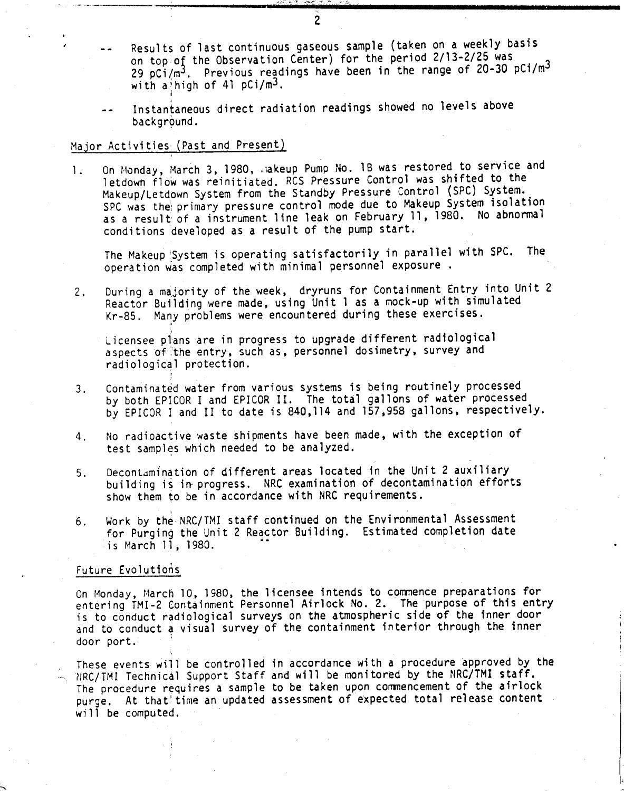- Results of last continuous gaseous sample (taken on a weekly basis on top of the Observation Center) for the period 2/13-2/25 was 29 pCi/m<sup>3</sup>. Previous readings have been in the range of 20-30 pCi/m<sup>3</sup> with a high of 41 pCi/m<sup>3</sup>.
- Instantaneous direct radiation readings showed no levels above  $\overline{a}$ background.

#### Major Activities (Past and Present)

'i

1. On Monday, March 3, 1980, Jakeup Pump No. 1B was restored to service and letdown flow was reinitiated. RCS Pressure Control was shifted to the Makeup/Letdown System from the Standby Pressure Control (SPC) System. SPC was the: primary pressure control mode due to Makeup System isolation as a result of a instrument line leak on February 11, 1980. No abnormal conditions developed as a result of the pump start.

The Makeup 'System is operating satisfactorily in parallel with SPC. The operation was completed with minimal personnel exposure.

2. During a majority of the week, dryruns for Containment Entry into Unit 2 Reactor Building were made, using Unit 1 as a mock-up with simulated Kr-85. Many problems were encountered during these exercises.

Licensee plans are in progress to upgrade different radiological aspects of the entry, such as, personnel dosimetry, survey and radiological protection.

- 3. Contaminated water from various systems is being routinely processed by both EPICOR I and EPICOR II. The total gallons of water processed by EPICOR I and II to date is 840,114 and 157,958 gallons, respectively.
- 4. No radioactive waste shipments have been made, with the exception of test samples which needed to be analyzed.
- 5. Decontamination of different areas located in the Unit 2 auxiliary building is in progress. NRC examination of decontamination efforts show them to be in accordance with NRC requirements.
- 6. Work by the NRC/TMI staff continued on the Environmental Assessment for Purging the Unit 2 Reactor Building. Estimated completion date is March 11, 1980.

#### Future Evolutions

On Monday, March 10, 1980, the licensee intends to commence preparations for entering TMI-2 Containment Personnel Airlock NO.2. The purpose of this entry is to conduct radiological surveys on the atmospheric side of the inner door and to conduct a visual survey of the containment interior through the inner door port.

These events will be controlled in accordance with a procedure approved by the  $\sim$  NRC/TMI Technical Support Staff and will be monitored by the NRC/TMI staff. The procedure requires a sample to be taken upon commencement of the airlock purge. At that'time an updated assessment of expected total release content will be computed.

2